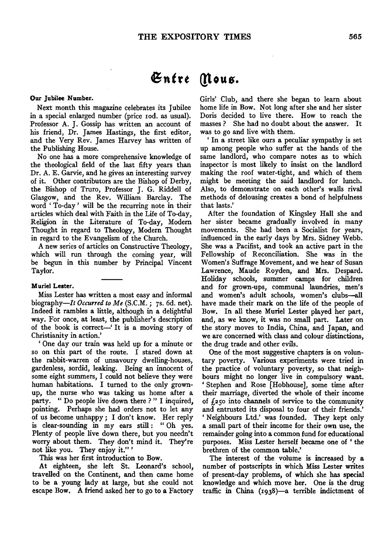# $\mathfrak{En}$ tre *(flous.*

#### Our Jubilee Number.

Next month this magazine celebrates its Jubilee in a special enlarged number (price Iod. as usual). Professor A. J. Gossip has written an account of his friend, Dr. James Hastings, the first editor, and the Very Rev. James Harvey has written of the Publishing House.

No one has a more comprehensive knowledge of the theological field of the last fifty years than Dr. A. E. Garvie, and he gives an interesting survey of it. Other contributors are the Bishop of Derby, the Bishop of Truro, Professor J. G. Riddell of Glasgow, and the Rev. William Barclay. The word 'To-day' will be the recurring note in their articles which deal with Faith in the Life of To-day, Religion in the Literature of To-day, Modem Thought in regard to Theology, Modern Thought in regard to the Evangelism of the Church.

A new series of articles on Constructive Theology, which will run through the coming year, will be begun in this number by Principal Vincent Taylor.

#### Muriel Lester.

Miss Lester has written a most easy and informal biography-It *Occurred to Me* (S.C.M. ; 7s. 6d. net). Indeed it rambles a little, although in a delightful way. For once, at least, the publisher's description of the book is correct-' It is a moving story of Christianity in action.'

' One day our train was held up for a minute or so on this part of the route. I stared down at the rabbit-warren of unsavoury dwelling-houses, gardenless, sordid, leaking. Being an innocent of some eight summers, I could not believe they were human habitations. I turned to the only grownup, the nurse who was taking us home after a party. " Do people live down there ? " I inquired, pointing. Perhaps she had orders not to let any of us become unhappy ; I don't know. Her reply is clear-sounding in my ears still : " Oh yes. Plenty of people live down there, but you needn't worry about them. They don't mind it. They're not like you. They enjoy it."'

This was her first introduction to Bow.

At eighteen, she left St. Leonard's school, travelled on the Continent, and then came home to be a young lady at large, but she could not escape Bow. A friend asked her to go to a Factory Girls' Club, and there she began to learn about home life in Bow. Not long after she and her sister Doris decided to live there. How to reach the masses? She had no doubt about the answer. It was to go and live with them.

' In a street like ours a peculiar sympathy is set up among people who suffer at the hands of the same landlord, who compare notes as to which inspector is most likely to insist on the landlord making the roof water-tight, and which of them might be meeting the said landlord for lunch. Also, to demonstrate on each other's walls rival methods of delousing creates a bond of helpfulness that lasts.'

After the foundation of Kingsley Hall she and her sister became gradually involved in many movements. She had been a Socialist for years, influenced in the early days by Mrs. Sidney Webb. She was a Pacifist, and took an active part in the Fellowship of Reconciliation. She was in the Women's Suffrage Movement, and we hear of Susan Lawrence, Maude Royden, and Mrs. Despard. Holiday schools, summer camps for children and for grown-ups, communal laundries, men's and women's adult schools, women's clubs--all have made their mark on the life of the people of Bow. In all these Muriel Lester played her part, and, as we know, it was no small part. Later on the story moves to India, China, and Japan, and we are concerned with class and colour distinctions, the drug trade and other evils.

One of the most suggestive chapters is on voluntary poverty. Various experiments were tried in the practice of voluntary poverty, so that neighbours might no longer live in compulsory want. ' Stephen and Rose [Hobhouse], some time after their marriage, diverted the whole of their income of  $f_{250}$  into channels of service to the community and entrusted its disposal to four of their friends.' 'Neighbours Ltd.' was founded. They kept only a small part of their income for their own use, the remainder going into a common fund for educational purposes. Miss Lester herself became one of ' the brethren of the common table.'

The interest of the volume is increased by a number of postscripts in which Miss Lester writes of present-day problems, of which she has special knowledge and which move her. One is the drug traffic in China (1938)-a terrible indictment of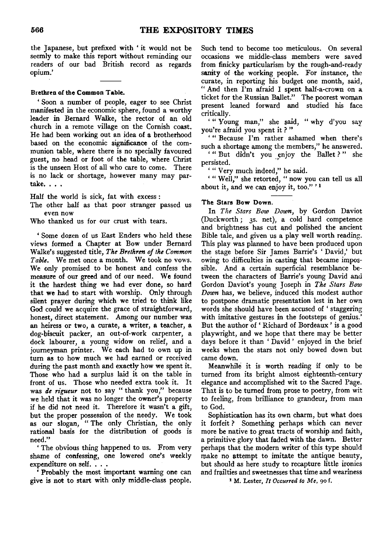the Japanese, but prefixed with ' it would not be seemly to make this report without reminding our readers of our bad British record as regards opium.'

# Brethren of the Common Table.

' Soon a number of people, eager to see Christ manifested in the economic sphere, found a worthy leader in Bernard Walke, the rector of an old church in a remote village on the Cornish coast. He had been working out an idea of a brotherhood based on the economic significance of the communion table, where there is no specially favoured guest, no head or foot of the table, where Christ is the unseen Host of all who care to come. There is no lack or shortage, however many may partake. . . .

Half the world is sick, fat with excess :

The other half as that poor stranger passed us even now

Who thanked us for our crust with tears.

' Some dozen of us East Enders who held these views formed a Chapter at Bow under Bernard Walke's suggested title, *The Brethren of the Common Table.* We met once a month. We took no vows. We only promised to be honest and confess the measure of our greed and of our need. We found it the hardest thing we had ever done, so hard that we had to start with worship. Only through silent prayer during which we tried to think like God could we acquire the grace of straightforward, honest, direct statement. Among our number was an heiress or two, a curate, a writer, a teacher, a dog-biscuit packer, an out-of-work carpenter, a dock labourer, a young widow on relief, and a journeyman printer. We each had to own up in turn as to how much we had earned or received during the past month and exactly how we spent it. Those who had a surplus laid it on the table in front of us. Those who needed extra took it. It was *de rigueur* not to say "thank you," because we held that it was no longer the owner's property if he did not need it. Therefore it wasn't a gift, but the proper possession of the needy. We took as our slogan, "The only Christian, the only rational basis for the distribution of goods is need."

' The obvious thing happened to us. From very shame of confessing, one lowered one's weekly expenditure on self. . . .

Probably the most important warning one can give is not to start with only middle-class people.

Such tend to become too meticulous. On several occasions we middle-class members were saved from finicky particularism by the rough-and-ready sanity of the working people. For instance, the curate, in reporting his budget one month, said, " And then I'm afraid I spent half-a-crown on a ticket for the Russian Ballet." The poorest woman present leaned forward and studied his face critically.

' "Young man," she said, "why d'you say you're afraid you spent it ? "

'" Because I'm rather ashamed when there's such a shortage among the members," he answered.

' " But didn't you enjoy the Ballet ? " she persisted.

' "Very much indeed," he said.

' " Well," she retorted, "now you can tell us all about it, and we can enjoy it, too." $1$ 

## The Stars Bow Down.

In *The Stars Bow Down,* by Gordon Daviot (Duckworth; 3s. net), a cold hard competence and brightness has cut and polished the ancient Bible tale, and given us a play well worth reading. This play was planned to have been produced upon the stage before Sir James Barrie's 'David,' but owing to difficulties in casting that became impossible. And a certain superficial resemblance between the characters of Barrie's young David and Gordon Daviot's young Joseph in *The Stars Bow Down* has, we believe, induced this modest author to postpone dramatic presentation lest in her own words she should have been accused of 'staggering with imitative gestures in the footsteps of genius.' But the author of ' Richard of Bordeaux ' is a good playwright, and we hope that there may be better days before it than ' David' enjoyed in the brief weeks when the stars not only bowed down but came down.

Meanwhile it is worth reading if only to be turned from its bright almost eighteenth-century elegance and accomplished wit to the Sacred Page. That is to be turned from prose to poetry, from wit to feeling, from brilliance to grandeur, from man to God.

Sophistication has its own charm, but what does it forfeit ? Something perhaps which can never more be native to great tracts of worship and faith, a primitive glory that faded with the dawn. Better perhaps that the modem writer of this type should make no attempt to imitate the antique beauty, but should as here study to recapture little ironies and frailties and sweetnesses that time and weariness

1 M. Lester, *It Ocwrred to Me,* 90 f.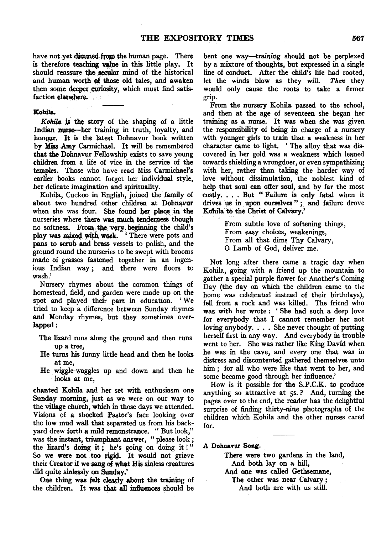have not yet dimmed from the human page. There is therefore teaching value in this little play. It should reassure the secular mind of the historical and human worth of those old tales, and awaken then some deeper curiosity, which must find satisfaction elsewhere.

## Kohila,

Kohila is the story of the shaping of a little Indian nurse—her training in truth, loyalty, and honour. It is the latest Dohnavur book written by Miss Amy Carmichael. It will be remembered that the Dohnavur Fellowship exists to save young children from a life of vice in the service of the temples. Those who have read Miss Carmichael's earlier books cannot forget her individual style, her delicate imagination and spirituality.

Kohila, Cuckoo in English, joined the family of about two hundred other children at Dohnavur when she was four. She found her place in the nurseries where there was much tenderness though no softness. From the very beginning the child's play was mixed with work. ' There were pots and pans to scrub and brass vessels to polish, and the ground round the nurseries to be swept with brooms made of grasses fastened together in an ingenious Indian way *;* and there were floors to wash.'

Nursery rhymes about the common things of homestead, field, and garden were made up on the spot and played their part in education. 'We tried to keep a difference between Sunday rhymes and Monday rhymes, but they sometimes overlapped:

- The lizard runs along the ground and then runs up a tree,
- He turns his funny little head and then he looks at me,
- He wiggle-waggles up and down and then he looks at me,

chanted Kohila and her set with enthusiasm one Sunday morning, just as we were on our way to the village church, which in those days we attended. Visions of a shocked Pastor's face looking over the low mud wall that separated us from his backyard drew forth a mild remonstrance. " But look," was the instant, triumphant answer, " please look *;*  the lizard's doing *it;* he's going on doing it ! " So we were not too rigid. It would not grieve their Creator if we sang *ot* what His sinless creatures did quite sinlessly on Sunday.'

One thing was felt clearly about the training of the children. It was that all influences should be

bent one way-training should not be perplexed by a mixture of thoughts, but expressed in a single line of conduct. After the child's life had rooted, let the winds blow as they will. *Then* they would only cause the roots to take a firmer grip.

From the nursery Kohila passed to the school, and then at the age of seventeen she began her training as a nurse. It was when she was given the responsibility of being in charge of a nursery with younger girls to train that a weakness in her character came to light. ' The alloy that was discovered in her gold was a weakness which leaned towards shielding a wrongdoer, or even sympathizing with her, rather than taking the harder way of love without dissimulation, the noblest kind of help that soul can offer soul, and by far the most costly. . . . But " Failure is only fatal when it drives us in upon ourselves "; and failure drove Kobila to the Christ of *Calvary*.'

> From subtle love of softening things, From easy choices, weakenings, From all that dims Thy Calvary, 0 Lamb of God, deliver me.

Not long after there came a tragic day when Kohila, going with a friend up the mountain to gather a special purple flower for Another's Coming Day (the day on which the children came to the home was celebrated instead of their birthdays), fell from a rock and was killed. The friend who was with her wrote : ' She had such a deep love for everybody that I cannot remember her not loving anybody ..•. She never thought of putting herself first in any way. And everybody in trouble went to her. She was rather like King David when he was in the cave, and every one that was in distress and discontented gathered themselves unto him; for all who were like that went to her, and some became good through her influence.'

How is it possible for the S.P.C.K. to produce anything so attractive at ss.? And, turning the pages over to the end, the reader has the delightful surprise of finding thirty-nine photographs of the children which Kohila and the other nurses cared for.

A Dohnavur Song.

There were two gardens in the land, And both lay on a hill,

And one was called Gethsemane,

The other was near Calvary *;*  And both are with us still.